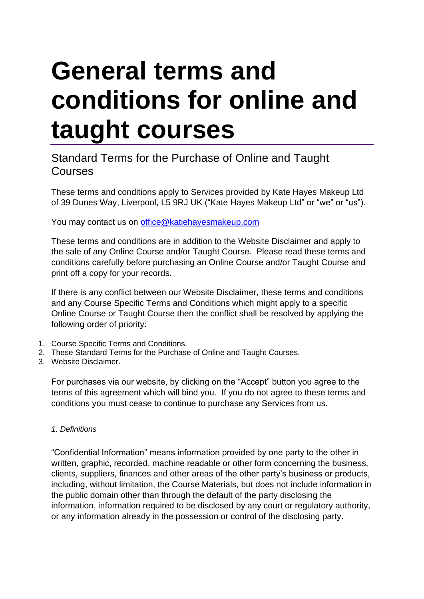# **General terms and conditions for online and taught courses**

# Standard Terms for the Purchase of Online and Taught Courses

These terms and conditions apply to Services provided by Kate Hayes Makeup Ltd of 39 Dunes Way, Liverpool, L5 9RJ UK ("Kate Hayes Makeup Ltd" or "we" or "us").

You may contact us on [office@katiehayesmakeup.com](mailto:clientservices@fitchlearning.com)

These terms and conditions are in addition to the Website Disclaimer and apply to the sale of any Online Course and/or Taught Course. Please read these terms and conditions carefully before purchasing an Online Course and/or Taught Course and print off a copy for your records.

If there is any conflict between our Website Disclaimer, these terms and conditions and any Course Specific Terms and Conditions which might apply to a specific Online Course or Taught Course then the conflict shall be resolved by applying the following order of priority:

- 1. Course Specific Terms and Conditions.
- 2. These Standard Terms for the Purchase of Online and Taught Courses.
- 3. Website Disclaimer.

For purchases via our website, by clicking on the "Accept" button you agree to the terms of this agreement which will bind you. If you do not agree to these terms and conditions you must cease to continue to purchase any Services from us.

# *1. Definitions*

"Confidential Information" means information provided by one party to the other in written, graphic, recorded, machine readable or other form concerning the business, clients, suppliers, finances and other areas of the other party's business or products, including, without limitation, the Course Materials, but does not include information in the public domain other than through the default of the party disclosing the information, information required to be disclosed by any court or regulatory authority, or any information already in the possession or control of the disclosing party.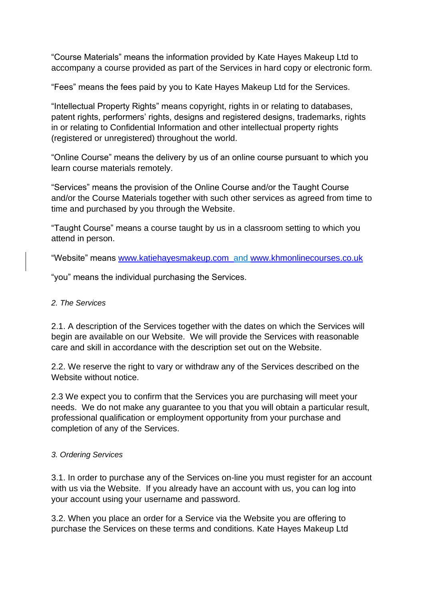"Course Materials" means the information provided by Kate Hayes Makeup Ltd to accompany a course provided as part of the Services in hard copy or electronic form.

"Fees" means the fees paid by you to Kate Hayes Makeup Ltd for the Services.

"Intellectual Property Rights" means copyright, rights in or relating to databases, patent rights, performers' rights, designs and registered designs, trademarks, rights in or relating to Confidential Information and other intellectual property rights (registered or unregistered) throughout the world.

"Online Course" means the delivery by us of an online course pursuant to which you learn course materials remotely.

"Services" means the provision of the Online Course and/or the Taught Course and/or the Course Materials together with such other services as agreed from time to time and purchased by you through the Website.

"Taught Course" means a course taught by us in a classroom setting to which you attend in person.

"Website" means [www.katiehayesmakeup.com](http://www.katiehayesmakeup.com  ) and [www.khmonlinecourses.co.uk](http://www.khmonlinecourses.co.uk/)

"you" means the individual purchasing the Services.

#### *2. The Services*

2.1. A description of the Services together with the dates on which the Services will begin are available on our Website. We will provide the Services with reasonable care and skill in accordance with the description set out on the Website.

2.2. We reserve the right to vary or withdraw any of the Services described on the Website without notice.

2.3 We expect you to confirm that the Services you are purchasing will meet your needs. We do not make any guarantee to you that you will obtain a particular result, professional qualification or employment opportunity from your purchase and completion of any of the Services.

#### *3. Ordering Services*

3.1. In order to purchase any of the Services on-line you must register for an account with us via the Website. If you already have an account with us, you can log into your account using your username and password.

3.2. When you place an order for a Service via the Website you are offering to purchase the Services on these terms and conditions. Kate Hayes Makeup Ltd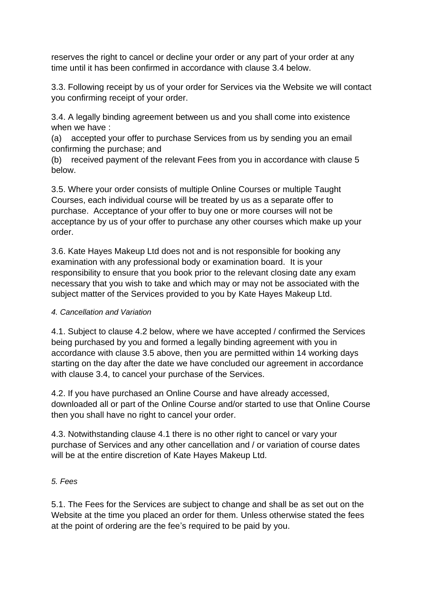reserves the right to cancel or decline your order or any part of your order at any time until it has been confirmed in accordance with clause 3.4 below.

3.3. Following receipt by us of your order for Services via the Website we will contact you confirming receipt of your order.

3.4. A legally binding agreement between us and you shall come into existence when we have :

(a) accepted your offer to purchase Services from us by sending you an email confirming the purchase; and

(b) received payment of the relevant Fees from you in accordance with clause 5 below.

3.5. Where your order consists of multiple Online Courses or multiple Taught Courses, each individual course will be treated by us as a separate offer to purchase. Acceptance of your offer to buy one or more courses will not be acceptance by us of your offer to purchase any other courses which make up your order.

3.6. Kate Hayes Makeup Ltd does not and is not responsible for booking any examination with any professional body or examination board. It is your responsibility to ensure that you book prior to the relevant closing date any exam necessary that you wish to take and which may or may not be associated with the subject matter of the Services provided to you by Kate Hayes Makeup Ltd.

# *4. Cancellation and Variation*

4.1. Subject to clause 4.2 below, where we have accepted / confirmed the Services being purchased by you and formed a legally binding agreement with you in accordance with clause 3.5 above, then you are permitted within 14 working days starting on the day after the date we have concluded our agreement in accordance with clause 3.4, to cancel your purchase of the Services.

4.2. If you have purchased an Online Course and have already accessed, downloaded all or part of the Online Course and/or started to use that Online Course then you shall have no right to cancel your order.

4.3. Notwithstanding clause 4.1 there is no other right to cancel or vary your purchase of Services and any other cancellation and / or variation of course dates will be at the entire discretion of Kate Hayes Makeup Ltd.

#### *5. Fees*

5.1. The Fees for the Services are subject to change and shall be as set out on the Website at the time you placed an order for them. Unless otherwise stated the fees at the point of ordering are the fee's required to be paid by you.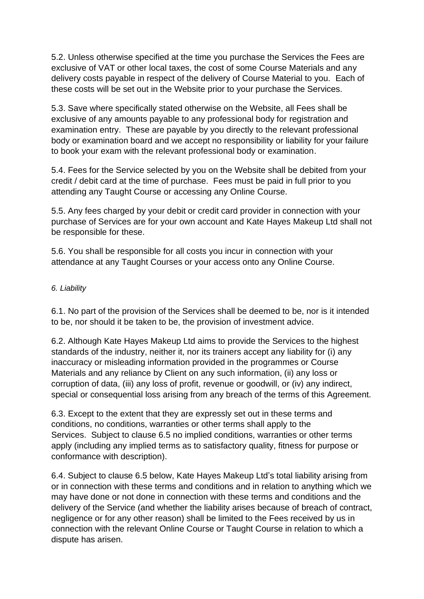5.2. Unless otherwise specified at the time you purchase the Services the Fees are exclusive of VAT or other local taxes, the cost of some Course Materials and any delivery costs payable in respect of the delivery of Course Material to you. Each of these costs will be set out in the Website prior to your purchase the Services.

5.3. Save where specifically stated otherwise on the Website, all Fees shall be exclusive of any amounts payable to any professional body for registration and examination entry. These are payable by you directly to the relevant professional body or examination board and we accept no responsibility or liability for your failure to book your exam with the relevant professional body or examination.

5.4. Fees for the Service selected by you on the Website shall be debited from your credit / debit card at the time of purchase. Fees must be paid in full prior to you attending any Taught Course or accessing any Online Course.

5.5. Any fees charged by your debit or credit card provider in connection with your purchase of Services are for your own account and Kate Hayes Makeup Ltd shall not be responsible for these.

5.6. You shall be responsible for all costs you incur in connection with your attendance at any Taught Courses or your access onto any Online Course.

## *6. Liability*

6.1. No part of the provision of the Services shall be deemed to be, nor is it intended to be, nor should it be taken to be, the provision of investment advice.

6.2. Although Kate Hayes Makeup Ltd aims to provide the Services to the highest standards of the industry, neither it, nor its trainers accept any liability for (i) any inaccuracy or misleading information provided in the programmes or Course Materials and any reliance by Client on any such information, (ii) any loss or corruption of data, (iii) any loss of profit, revenue or goodwill, or (iv) any indirect, special or consequential loss arising from any breach of the terms of this Agreement.

6.3. Except to the extent that they are expressly set out in these terms and conditions, no conditions, warranties or other terms shall apply to the Services. Subject to clause 6.5 no implied conditions, warranties or other terms apply (including any implied terms as to satisfactory quality, fitness for purpose or conformance with description).

6.4. Subject to clause 6.5 below, Kate Hayes Makeup Ltd's total liability arising from or in connection with these terms and conditions and in relation to anything which we may have done or not done in connection with these terms and conditions and the delivery of the Service (and whether the liability arises because of breach of contract, negligence or for any other reason) shall be limited to the Fees received by us in connection with the relevant Online Course or Taught Course in relation to which a dispute has arisen.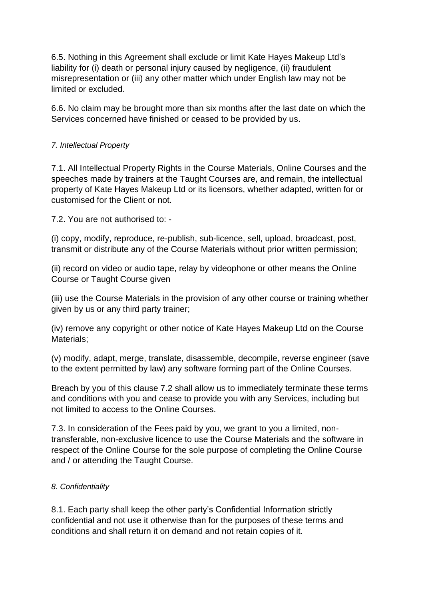6.5. Nothing in this Agreement shall exclude or limit Kate Hayes Makeup Ltd's liability for (i) death or personal injury caused by negligence, (ii) fraudulent misrepresentation or (iii) any other matter which under English law may not be limited or excluded.

6.6. No claim may be brought more than six months after the last date on which the Services concerned have finished or ceased to be provided by us.

## *7. Intellectual Property*

7.1. All Intellectual Property Rights in the Course Materials, Online Courses and the speeches made by trainers at the Taught Courses are, and remain, the intellectual property of Kate Hayes Makeup Ltd or its licensors, whether adapted, written for or customised for the Client or not.

7.2. You are not authorised to: -

(i) copy, modify, reproduce, re-publish, sub-licence, sell, upload, broadcast, post, transmit or distribute any of the Course Materials without prior written permission;

(ii) record on video or audio tape, relay by videophone or other means the Online Course or Taught Course given

(iii) use the Course Materials in the provision of any other course or training whether given by us or any third party trainer;

(iv) remove any copyright or other notice of Kate Hayes Makeup Ltd on the Course Materials;

(v) modify, adapt, merge, translate, disassemble, decompile, reverse engineer (save to the extent permitted by law) any software forming part of the Online Courses.

Breach by you of this clause 7.2 shall allow us to immediately terminate these terms and conditions with you and cease to provide you with any Services, including but not limited to access to the Online Courses.

7.3. In consideration of the Fees paid by you, we grant to you a limited, nontransferable, non-exclusive licence to use the Course Materials and the software in respect of the Online Course for the sole purpose of completing the Online Course and / or attending the Taught Course.

#### *8. Confidentiality*

8.1. Each party shall keep the other party's Confidential Information strictly confidential and not use it otherwise than for the purposes of these terms and conditions and shall return it on demand and not retain copies of it.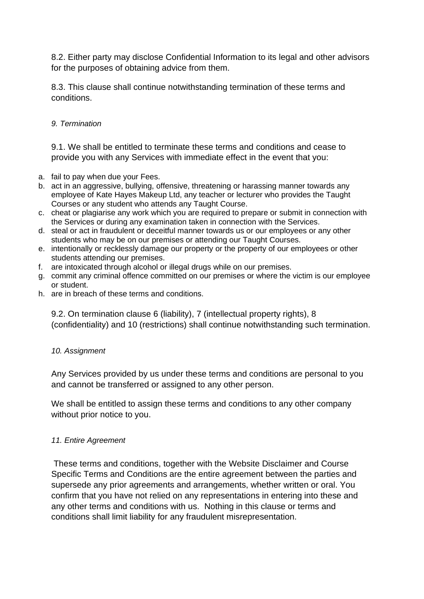8.2. Either party may disclose Confidential Information to its legal and other advisors for the purposes of obtaining advice from them.

8.3. This clause shall continue notwithstanding termination of these terms and conditions.

#### *9. Termination*

9.1. We shall be entitled to terminate these terms and conditions and cease to provide you with any Services with immediate effect in the event that you:

- a. fail to pay when due your Fees.
- b. act in an aggressive, bullying, offensive, threatening or harassing manner towards any employee of Kate Hayes Makeup Ltd, any teacher or lecturer who provides the Taught Courses or any student who attends any Taught Course.
- c. cheat or plagiarise any work which you are required to prepare or submit in connection with the Services or during any examination taken in connection with the Services.
- d. steal or act in fraudulent or deceitful manner towards us or our employees or any other students who may be on our premises or attending our Taught Courses.
- e. intentionally or recklessly damage our property or the property of our employees or other students attending our premises.
- f. are intoxicated through alcohol or illegal drugs while on our premises.
- g. commit any criminal offence committed on our premises or where the victim is our employee or student.
- h. are in breach of these terms and conditions.

9.2. On termination clause 6 (liability), 7 (intellectual property rights), 8 (confidentiality) and 10 (restrictions) shall continue notwithstanding such termination.

#### *10. Assignment*

Any Services provided by us under these terms and conditions are personal to you and cannot be transferred or assigned to any other person.

We shall be entitled to assign these terms and conditions to any other company without prior notice to you.

#### *11. Entire Agreement*

These terms and conditions, together with the Website Disclaimer and Course Specific Terms and Conditions are the entire agreement between the parties and supersede any prior agreements and arrangements, whether written or oral. You confirm that you have not relied on any representations in entering into these and any other terms and conditions with us. Nothing in this clause or terms and conditions shall limit liability for any fraudulent misrepresentation.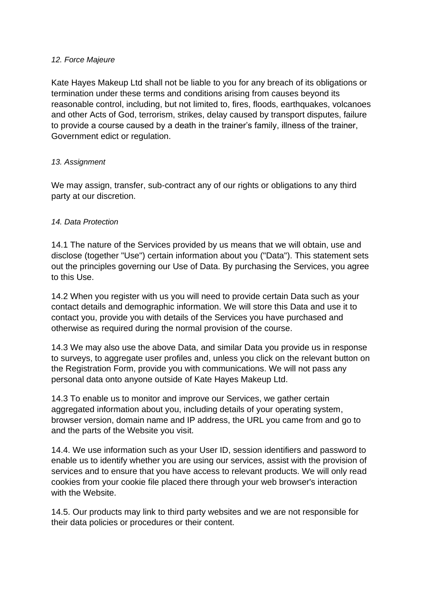#### *12. Force Majeure*

Kate Hayes Makeup Ltd shall not be liable to you for any breach of its obligations or termination under these terms and conditions arising from causes beyond its reasonable control, including, but not limited to, fires, floods, earthquakes, volcanoes and other Acts of God, terrorism, strikes, delay caused by transport disputes, failure to provide a course caused by a death in the trainer's family, illness of the trainer, Government edict or regulation.

#### *13. Assignment*

We may assign, transfer, sub-contract any of our rights or obligations to any third party at our discretion.

#### *14. Data Protection*

14.1 The nature of the Services provided by us means that we will obtain, use and disclose (together "Use") certain information about you ("Data"). This statement sets out the principles governing our Use of Data. By purchasing the Services, you agree to this Use.

14.2 When you register with us you will need to provide certain Data such as your contact details and demographic information. We will store this Data and use it to contact you, provide you with details of the Services you have purchased and otherwise as required during the normal provision of the course.

14.3 We may also use the above Data, and similar Data you provide us in response to surveys, to aggregate user profiles and, unless you click on the relevant button on the Registration Form, provide you with communications. We will not pass any personal data onto anyone outside of Kate Hayes Makeup Ltd.

14.3 To enable us to monitor and improve our Services, we gather certain aggregated information about you, including details of your operating system, browser version, domain name and IP address, the URL you came from and go to and the parts of the Website you visit.

14.4. We use information such as your User ID, session identifiers and password to enable us to identify whether you are using our services, assist with the provision of services and to ensure that you have access to relevant products. We will only read cookies from your cookie file placed there through your web browser's interaction with the Website.

14.5. Our products may link to third party websites and we are not responsible for their data policies or procedures or their content.